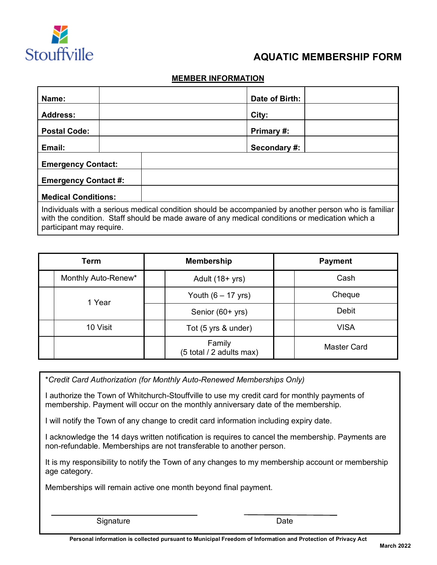

## **AQUATIC MEMBERSHIP FORM**

## **MEMBER INFORMATION**

| Name:                                                                                                                                                                                                                              |  | Date of Birth: |  |  |
|------------------------------------------------------------------------------------------------------------------------------------------------------------------------------------------------------------------------------------|--|----------------|--|--|
| <b>Address:</b>                                                                                                                                                                                                                    |  | City:          |  |  |
| <b>Postal Code:</b>                                                                                                                                                                                                                |  | Primary #:     |  |  |
| Email:                                                                                                                                                                                                                             |  | Secondary #:   |  |  |
| <b>Emergency Contact:</b>                                                                                                                                                                                                          |  |                |  |  |
| <b>Emergency Contact #:</b>                                                                                                                                                                                                        |  |                |  |  |
| <b>Medical Conditions:</b>                                                                                                                                                                                                         |  |                |  |  |
| Individuals with a serious medical condition should be accompanied by another person who is familiar<br>with the condition. Staff should be made aware of any medical conditions or medication which a<br>participant may require. |  |                |  |  |

| Term |                     | <b>Membership</b>                  | <b>Payment</b>     |  |
|------|---------------------|------------------------------------|--------------------|--|
|      | Monthly Auto-Renew* | Adult $(18 + yrs)$                 | Cash               |  |
|      | 1 Year              | Youth $(6 - 17$ yrs)               | Cheque             |  |
|      |                     | Senior (60+ yrs)                   | Debit              |  |
|      | 10 Visit            | Tot (5 yrs & under)                | <b>VISA</b>        |  |
|      |                     | Family<br>(5 total / 2 adults max) | <b>Master Card</b> |  |

\**Credit Card Authorization (for Monthly Auto-Renewed Memberships Only)*

I authorize the Town of Whitchurch-Stouffville to use my credit card for monthly payments of membership. Payment will occur on the monthly anniversary date of the membership.

I will notify the Town of any change to credit card information including expiry date.

I acknowledge the 14 days written notification is requires to cancel the membership. Payments are non-refundable. Memberships are not transferable to another person.

It is my responsibility to notify the Town of any changes to my membership account or membership age category.

Memberships will remain active one month beyond final payment.

| Signature | Date |
|-----------|------|
|-----------|------|